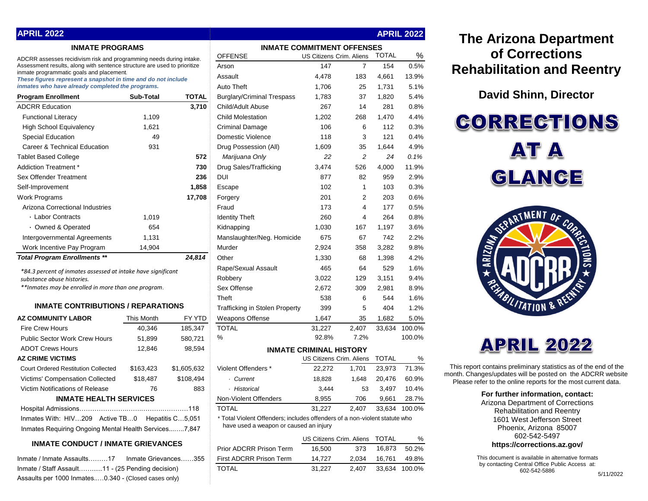| APRIL 2022                                                                                                |                |                                   |                |
|-----------------------------------------------------------------------------------------------------------|----------------|-----------------------------------|----------------|
| <b>INMATE PROGRAMS</b>                                                                                    |                | <b>INMATE COMMITMENT OFFENSES</b> |                |
| ADCRR assesses recidivism risk and programming needs during intake.                                       | <b>OFFENSE</b> | US Citizens Crim. Aliens TO       |                |
| Assessment results, along with sentence structure are used to prioritize                                  | Arson          | 147                               |                |
| inmate programmatic goals and placement.<br>These figures represent a snapshot in time and do not include | Assault        | 4.478<br>183                      | $\overline{4}$ |

**APRIL 2022**

| <b>Program Enrollment</b>           | Sub-Total | <b>TOTAL</b> |
|-------------------------------------|-----------|--------------|
| <b>ADCRR Education</b>              |           | 3,710        |
| <b>Functional Literacy</b>          | 1,109     |              |
| <b>High School Equivalency</b>      | 1,621     |              |
| <b>Special Education</b>            | 49        |              |
| Career & Technical Education        | 931       |              |
| <b>Tablet Based College</b>         |           | 572          |
| Addiction Treatment *               |           | 730          |
| Sex Offender Treatment              |           | 236          |
| Self-Improvement                    |           | 1,858        |
| <b>Work Programs</b>                |           | 17,708       |
| Arizona Correctional Industries     |           |              |
| · Labor Contracts                   | 1,019     |              |
| • Owned & Operated                  | 654       |              |
| Intergovernmental Agreements        | 1,131     |              |
| Work Incentive Pay Program          | 14,904    |              |
| <b>Total Program Enrollments **</b> |           | 24,814       |

## **INMATE CONTRIBUTIONS / REPARATIONS**

| <b>AZ COMMUNITY LABOR</b>                             | This Month | FY YTD      |  |  |  |
|-------------------------------------------------------|------------|-------------|--|--|--|
| <b>Fire Crew Hours</b>                                | 40,346     | 185,347     |  |  |  |
| Public Sector Work Crew Hours                         | 51,899     | 580,721     |  |  |  |
| <b>ADOT Crews Hours</b>                               | 12,846     | 98,594      |  |  |  |
| <b>AZ CRIME VICTIMS</b>                               |            |             |  |  |  |
| <b>Court Ordered Restitution Collected</b>            | \$163,423  | \$1,605,632 |  |  |  |
| Victims' Compensation Collected                       | \$18,487   | \$108.494   |  |  |  |
| Victim Notifications of Release                       | 76         | 883         |  |  |  |
| <b>INMATE HEALTH SERVICES</b>                         |            |             |  |  |  |
|                                                       |            |             |  |  |  |
| Inmates With: HIV209 Active TB0 Hepatitis C5,051      |            |             |  |  |  |
| Inmates Requiring Ongoing Mental Health Services7,847 |            |             |  |  |  |

# **INMATE CONDUCT / INMATE GRIEVANCES**

| Inmate / Inmate Assaults17    Inmate Grievances355   |  |
|------------------------------------------------------|--|
| Inmate / Staff Assault11 - (25 Pending decision)     |  |
| Assaults per 1000 Inmates0.340 - (Closed cases only) |  |

| APRIL 2022                                                                                                |                  |                  |                                                                                                                      |                                |                |              | <b>APRIL 2022</b> |
|-----------------------------------------------------------------------------------------------------------|------------------|------------------|----------------------------------------------------------------------------------------------------------------------|--------------------------------|----------------|--------------|-------------------|
| <b>INMATE PROGRAMS</b>                                                                                    |                  |                  | <b>INMATE COMMITMENT OFFENSES</b>                                                                                    |                                |                |              |                   |
| ADCRR assesses recidivism risk and programming needs during intake.                                       |                  | <b>OFFENSE</b>   | <b>US Citizens Crim. Aliens</b>                                                                                      |                                | <b>TOTAL</b>   | %            |                   |
| Assessment results, along with sentence structure are used to prioritize                                  |                  | Arson            | 147                                                                                                                  | $\overline{7}$                 | 154            | 0.5%         |                   |
| inmate programmatic goals and placement.<br>These figures represent a snapshot in time and do not include |                  |                  | Assault                                                                                                              | 4,478                          | 183            | 4,661        | 13.9%             |
| inmates who have already completed the programs.                                                          |                  |                  | <b>Auto Theft</b>                                                                                                    | 1,706                          | 25             | 1,731        | 5.1%              |
| <b>Program Enrollment</b>                                                                                 | <b>Sub-Total</b> | <b>TOTAL</b>     | <b>Burglary/Criminal Trespass</b>                                                                                    | 1,783                          | 37             | 1,820        | 5.4%              |
| <b>ADCRR Education</b>                                                                                    |                  | 3.710            | Child/Adult Abuse                                                                                                    | 267                            | 14             | 281          | 0.8%              |
| <b>Functional Literacy</b>                                                                                | 1,109            |                  | <b>Child Molestation</b>                                                                                             | 1,202                          | 268            | 1,470        | 4.4%              |
| <b>High School Equivalency</b>                                                                            | 1.621            |                  | <b>Criminal Damage</b>                                                                                               | 106                            | 6              | 112          | 0.3%              |
| <b>Special Education</b>                                                                                  | 49               |                  | Domestic Violence                                                                                                    | 118                            | 3              | 121          | 0.4%              |
| Career & Technical Education                                                                              | 931              |                  | Drug Possession (All)                                                                                                | 1,609                          | 35             | 1,644        | 4.9%              |
| <b>Tablet Based College</b>                                                                               |                  | 572              | Marijuana Only                                                                                                       | 22                             | $\overline{c}$ | 24           | 0.1%              |
| Addiction Treatment *                                                                                     |                  | 730              | Drug Sales/Trafficking                                                                                               | 3,474                          | 526            | 4,000        | 11.9%             |
| Sex Offender Treatment                                                                                    |                  | 236              | DUI                                                                                                                  | 877                            | 82             | 959          | 2.9%              |
| Self-Improvement                                                                                          |                  | 1,858            | Escape                                                                                                               | 102                            | $\mathbf{1}$   | 103          | 0.3%              |
| Work Programs                                                                                             |                  | 17,708           | Forgery                                                                                                              | 201                            | $\overline{2}$ | 203          | 0.6%              |
| Arizona Correctional Industries                                                                           |                  |                  | Fraud                                                                                                                | 173                            | $\overline{4}$ | 177          | 0.5%              |
| · Labor Contracts                                                                                         | 1,019            |                  | <b>Identity Theft</b>                                                                                                | 260                            | $\overline{4}$ | 264          | 0.8%              |
| • Owned & Operated                                                                                        | 654              |                  | Kidnapping                                                                                                           | 1,030                          | 167            | 1,197        | 3.6%              |
| Intergovernmental Agreements                                                                              | 1,131            |                  | Manslaughter/Neg. Homicide                                                                                           | 675                            | 67             | 742          | 2.2%              |
| Work Incentive Pay Program                                                                                | 14,904           |                  | Murder                                                                                                               | 2,924                          | 358            | 3,282        | 9.8%              |
| <b>Total Program Enrollments **</b>                                                                       |                  | 24.814           | Other                                                                                                                | 1,330                          | 68             | 1,398        | 4.2%              |
| *84.3 percent of inmates assessed at intake have significant                                              |                  |                  | Rape/Sexual Assault                                                                                                  | 465                            | 64             | 529          | 1.6%              |
| substance abuse histories.                                                                                |                  |                  | Robbery                                                                                                              | 3,022                          | 129            | 3,151        | 9.4%              |
| **Inmates may be enrolled in more than one program.                                                       |                  |                  | Sex Offense                                                                                                          | 2,672                          | 309            | 2,981        | 8.9%              |
|                                                                                                           |                  |                  | Theft                                                                                                                | 538                            | 6              | 544          | 1.6%              |
| <b>INMATE CONTRIBUTIONS / REPARATIONS</b>                                                                 |                  |                  | <b>Trafficking in Stolen Property</b>                                                                                | 399                            | 5              | 404          | 1.2%              |
| <b>AZ COMMUNITY LABOR</b>                                                                                 | This Month       | FY YTD           | <b>Weapons Offense</b>                                                                                               | 1,647                          | 35             | 1,682        | 5.0%              |
| <b>Fire Crew Hours</b>                                                                                    | 40,346           | 185,347          | <b>TOTAL</b>                                                                                                         | 31,227                         | 2,407          | 33,634       | 100.0%            |
| <b>Public Sector Work Crew Hours</b>                                                                      | 51,899           | 580,721          | %                                                                                                                    | 92.8%                          | 7.2%           |              | 100.0%            |
| <b>ADOT Crews Hours</b>                                                                                   | 12,846           | 98,594           |                                                                                                                      | <b>INMATE CRIMINAL HISTORY</b> |                |              |                   |
| AZ CRIME VICTIMS                                                                                          |                  |                  |                                                                                                                      | US Citizens Crim. Aliens       |                | <b>TOTAL</b> | %                 |
| <b>Court Ordered Restitution Collected</b>                                                                | \$163,423        | \$1,605,632      | Violent Offenders *                                                                                                  | 22,272                         | 1,701          | 23,973       | 71.3%             |
| Victims' Compensation Collected                                                                           | \$18,487         | \$108,494        | · Current                                                                                                            | 18,828                         | 1,648          | 20,476       | 60.9%             |
| Victim Notifications of Release                                                                           | 76               | 883              | · Historical                                                                                                         | 3,444                          | 53             | 3,497        | 10.4%             |
| <b>INMATE HEALTH SERVICES</b>                                                                             |                  |                  | Non-Violent Offenders                                                                                                | 8,955                          | 706            | 9,661        | 28.7%             |
|                                                                                                           |                  |                  | <b>TOTAL</b>                                                                                                         | 31.227                         | 2.407          | 33.634       | 100.0%            |
| Inmates With: HIV209 Active TB0<br>Inmates Requiring Ongoing Mental Health Services7,847                  |                  | Hepatitis C5,051 | * Total Violent Offenders; includes offenders of a non-violent statute who<br>have used a weapon or caused an injury |                                |                |              |                   |
|                                                                                                           |                  |                  |                                                                                                                      | US Citizens Crim. Aliens TOTAL |                |              | %                 |

| <b>INMATE CONDUCT / INMATE GRIEVANCES</b>             | Prior ADCRR Prison Term | 16.500 | 373   | 16.873              | 50.2% |
|-------------------------------------------------------|-------------------------|--------|-------|---------------------|-------|
| Inmate Grievances355<br>Inmate / Inmate Assaults………17 | First ADCRR Prison Term | 14.727 | 2.034 | 16.761              | 49.8% |
| Inmate / Staff Assault11 - (25 Pending decision)      | TOTAL                   | 31.227 |       | 2.407 33.634 100.0% |       |
|                                                       |                         |        |       |                     |       |

# **The Arizona Department of Corrections Rehabilitation and Reentry**

# **David Shinn, Director**

**CORRECTIONS AT A** GLANCE





This report contains preliminary statistics as of the end of the month. Changes/updates will be posted on the ADCRR website. Please refer to the online reports for the most current data.

#### **For further information, contact:**

Arizona Department of Corrections Rehabilitation and Reentry 1601 West Jefferson Street Phoenix, Arizona 85007 602-542-5497

**https://corrections.az.gov/**

This document is available in alternative formats by contacting Central Office Public Access at: 602-542-5886